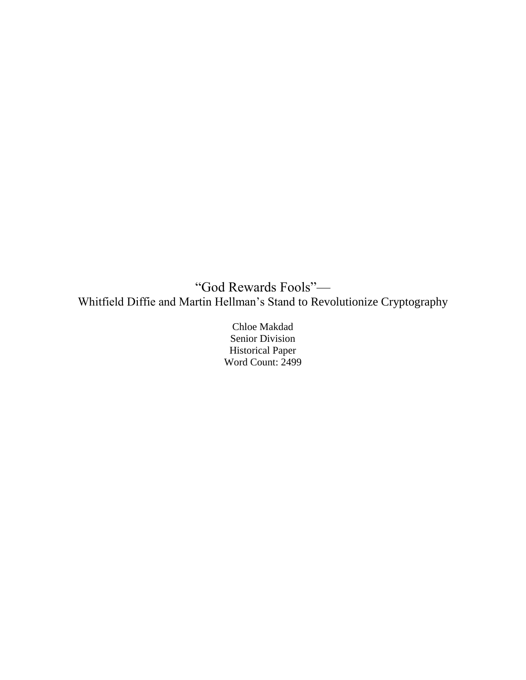"God Rewards Fools"— Whitfield Diffie and Martin Hellman's Stand to Revolutionize Cryptography

> Chloe Makdad Senior Division Historical Paper Word Count: 2499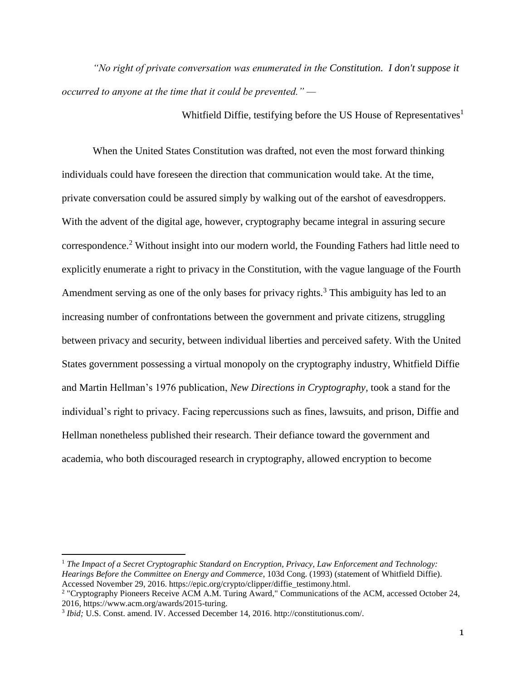*"No right of private conversation was enumerated in the Constitution. I don't suppose it occurred to anyone at the time that it could be prevented." —*

Whitfield Diffie, testifying before the US House of Representatives<sup>1</sup>

When the United States Constitution was drafted, not even the most forward thinking individuals could have foreseen the direction that communication would take. At the time, private conversation could be assured simply by walking out of the earshot of eavesdroppers. With the advent of the digital age, however, cryptography became integral in assuring secure correspondence.<sup>2</sup> Without insight into our modern world, the Founding Fathers had little need to explicitly enumerate a right to privacy in the Constitution, with the vague language of the Fourth Amendment serving as one of the only bases for privacy rights.<sup>3</sup> This ambiguity has led to an increasing number of confrontations between the government and private citizens, struggling between privacy and security, between individual liberties and perceived safety. With the United States government possessing a virtual monopoly on the cryptography industry, Whitfield Diffie and Martin Hellman's 1976 publication, *New Directions in Cryptography,* took a stand for the individual's right to privacy. Facing repercussions such as fines, lawsuits, and prison, Diffie and Hellman nonetheless published their research. Their defiance toward the government and academia, who both discouraged research in cryptography, allowed encryption to become

<sup>1</sup> *The Impact of a Secret Cryptographic Standard on Encryption, Privacy, Law Enforcement and Technology: Hearings Before the Committee on Energy and Commerce*, 103d Cong. (1993) (statement of Whitfield Diffie). Accessed November 29, 2016. https://epic.org/crypto/clipper/diffie\_testimony.html.

<sup>2</sup> "Cryptography Pioneers Receive ACM A.M. Turing Award," Communications of the ACM, accessed October 24, 2016, https://www.acm.org/awards/2015-turing.

<sup>&</sup>lt;sup>3</sup> Ibid; U.S. Const. amend. IV. Accessed December 14, 2016. http://constitutionus.com/.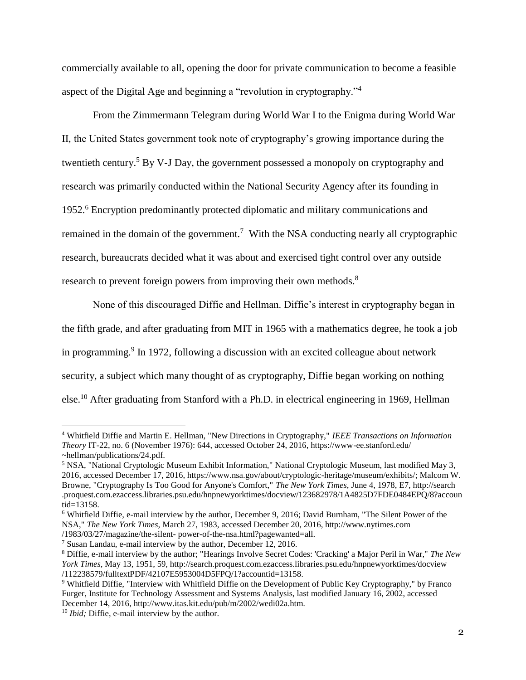commercially available to all, opening the door for private communication to become a feasible aspect of the Digital Age and beginning a "revolution in cryptography."<sup>4</sup>

From the Zimmermann Telegram during World War I to the Enigma during World War II, the United States government took note of cryptography's growing importance during the twentieth century.<sup>5</sup> By V-J Day, the government possessed a monopoly on cryptography and research was primarily conducted within the National Security Agency after its founding in 1952.<sup>6</sup> Encryption predominantly protected diplomatic and military communications and remained in the domain of the government.<sup>7</sup> With the NSA conducting nearly all cryptographic research, bureaucrats decided what it was about and exercised tight control over any outside research to prevent foreign powers from improving their own methods.<sup>8</sup>

None of this discouraged Diffie and Hellman. Diffie's interest in cryptography began in the fifth grade, and after graduating from MIT in 1965 with a mathematics degree, he took a job in programming.<sup>9</sup> In 1972, following a discussion with an excited colleague about network security, a subject which many thought of as cryptography, Diffie began working on nothing else.<sup>10</sup> After graduating from Stanford with a Ph.D. in electrical engineering in 1969, Hellman

<sup>4</sup> Whitfield Diffie and Martin E. Hellman, "New Directions in Cryptography," *IEEE Transactions on Information Theory* IT-22, no. 6 (November 1976): 644, accessed October 24, 2016, https://www-ee.stanford.edu/ ~hellman/publications/24.pdf.

<sup>5</sup> NSA, "National Cryptologic Museum Exhibit Information," National Cryptologic Museum, last modified May 3, 2016, accessed December 17, 2016, https://www.nsa.gov/about/cryptologic-heritage/museum/exhibits/; Malcom W. Browne, "Cryptography Is Too Good for Anyone's Comfort," *The New York Times*, June 4, 1978, E7, http://search .proquest.com.ezaccess.libraries.psu.edu/hnpnewyorktimes/docview/123682978/1A4825D7FDE0484EPQ/8?accoun tid=13158.

<sup>6</sup> Whitfield Diffie, e-mail interview by the author, December 9, 2016; David Burnham, "The Silent Power of the NSA," *The New York Times,* March 27, 1983, accessed December 20, 2016, http://www.nytimes.com /1983/03/27/magazine/the-silent- power-of-the-nsa.html?pagewanted=all.

<sup>7</sup> Susan Landau, e-mail interview by the author, December 12, 2016.

<sup>8</sup> Diffie, e-mail interview by the author; "Hearings Involve Secret Codes: 'Cracking' a Major Peril in War," *The New York Times*, May 13, 1951, 59, http://search.proquest.com.ezaccess.libraries.psu.edu/hnpnewyorktimes/docview /112238579/fulltextPDF/42107E5953004D5FPQ/1?accountid=13158.

<sup>9</sup> Whitfield Diffie, "Interview with Whitfield Diffie on the Development of Public Key Cryptography," by Franco Furger, Institute for Technology Assessment and Systems Analysis, last modified January 16, 2002, accessed December 14, 2016, http://www.itas.kit.edu/pub/m/2002/wedi02a.htm.

<sup>10</sup> *Ibid;* Diffie, e-mail interview by the author.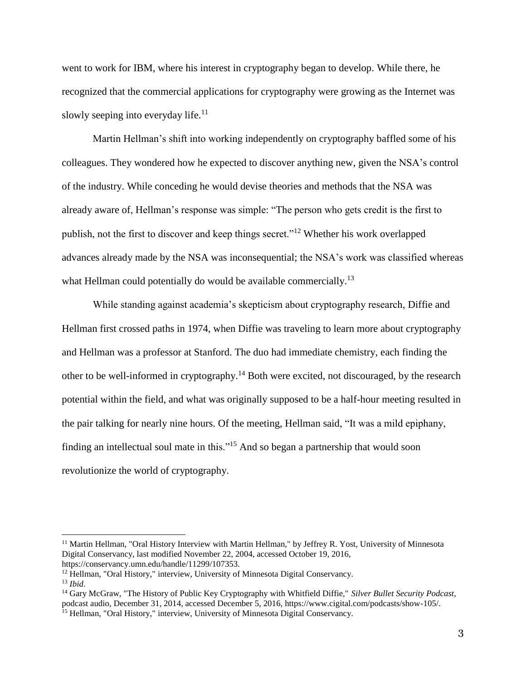went to work for IBM, where his interest in cryptography began to develop. While there, he recognized that the commercial applications for cryptography were growing as the Internet was slowly seeping into everyday life.<sup>11</sup>

Martin Hellman's shift into working independently on cryptography baffled some of his colleagues. They wondered how he expected to discover anything new, given the NSA's control of the industry. While conceding he would devise theories and methods that the NSA was already aware of, Hellman's response was simple: "The person who gets credit is the first to publish, not the first to discover and keep things secret."<sup>12</sup> Whether his work overlapped advances already made by the NSA was inconsequential; the NSA's work was classified whereas what Hellman could potentially do would be available commercially.<sup>13</sup>

While standing against academia's skepticism about cryptography research, Diffie and Hellman first crossed paths in 1974, when Diffie was traveling to learn more about cryptography and Hellman was a professor at Stanford. The duo had immediate chemistry, each finding the other to be well-informed in cryptography.<sup>14</sup> Both were excited, not discouraged, by the research potential within the field, and what was originally supposed to be a half-hour meeting resulted in the pair talking for nearly nine hours. Of the meeting, Hellman said, "It was a mild epiphany, finding an intellectual soul mate in this."<sup>15</sup> And so began a partnership that would soon revolutionize the world of cryptography.

 $\overline{a}$ 

<sup>11</sup> Martin Hellman, "Oral History Interview with Martin Hellman," by Jeffrey R. Yost, University of Minnesota Digital Conservancy, last modified November 22, 2004, accessed October 19, 2016, https://conservancy.umn.edu/handle/11299/107353.

<sup>&</sup>lt;sup>12</sup> Hellman, "Oral History," interview, University of Minnesota Digital Conservancy.

<sup>13</sup> *Ibid*.

<sup>14</sup> Gary McGraw, "The History of Public Key Cryptography with Whitfield Diffie," *Silver Bullet Security Podcast*, podcast audio, December 31, 2014, accessed December 5, 2016, https://www.cigital.com/podcasts/show-105/. <sup>15</sup> Hellman, "Oral History," interview, University of Minnesota Digital Conservancy.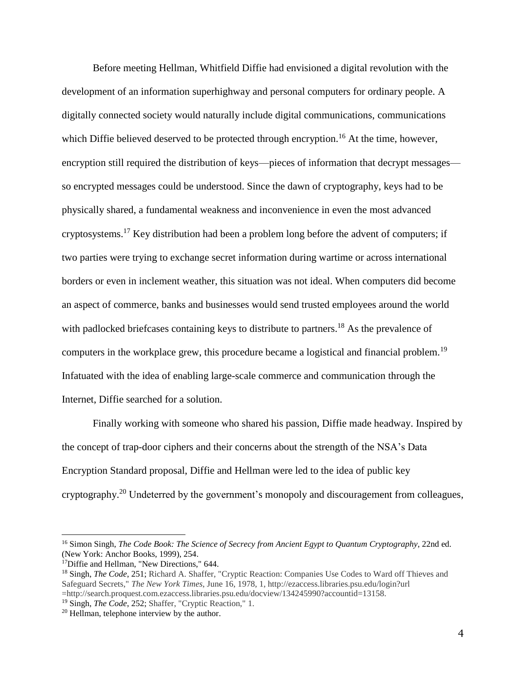Before meeting Hellman, Whitfield Diffie had envisioned a digital revolution with the development of an information superhighway and personal computers for ordinary people. A digitally connected society would naturally include digital communications, communications which Diffie believed deserved to be protected through encryption.<sup>16</sup> At the time, however, encryption still required the distribution of keys—pieces of information that decrypt messages so encrypted messages could be understood. Since the dawn of cryptography, keys had to be physically shared, a fundamental weakness and inconvenience in even the most advanced cryptosystems.<sup>17</sup> Key distribution had been a problem long before the advent of computers; if two parties were trying to exchange secret information during wartime or across international borders or even in inclement weather, this situation was not ideal. When computers did become an aspect of commerce, banks and businesses would send trusted employees around the world with padlocked briefcases containing keys to distribute to partners.<sup>18</sup> As the prevalence of computers in the workplace grew, this procedure became a logistical and financial problem.<sup>19</sup> Infatuated with the idea of enabling large-scale commerce and communication through the Internet, Diffie searched for a solution.

Finally working with someone who shared his passion, Diffie made headway. Inspired by the concept of trap-door ciphers and their concerns about the strength of the NSA's Data Encryption Standard proposal, Diffie and Hellman were led to the idea of public key cryptography.<sup>20</sup> Undeterred by the government's monopoly and discouragement from colleagues,

 $\overline{a}$ 

<sup>16</sup> Simon Singh, *The Code Book: The Science of Secrecy from Ancient Egypt to Quantum Cryptography*, 22nd ed. (New York: Anchor Books, 1999), 254.

<sup>&</sup>lt;sup>17</sup>Diffie and Hellman, "New Directions," 644.

<sup>18</sup> Singh, *The Code*, 251; Richard A. Shaffer, "Cryptic Reaction: Companies Use Codes to Ward off Thieves and Safeguard Secrets," *The New York Times*, June 16, 1978, 1, http://ezaccess.libraries.psu.edu/login?url =http://search.proquest.com.ezaccess.libraries.psu.edu/docview/134245990?accountid=13158.

<sup>19</sup> Singh, *The Code*, 252; Shaffer, "Cryptic Reaction," 1.

<sup>20</sup> Hellman, telephone interview by the author.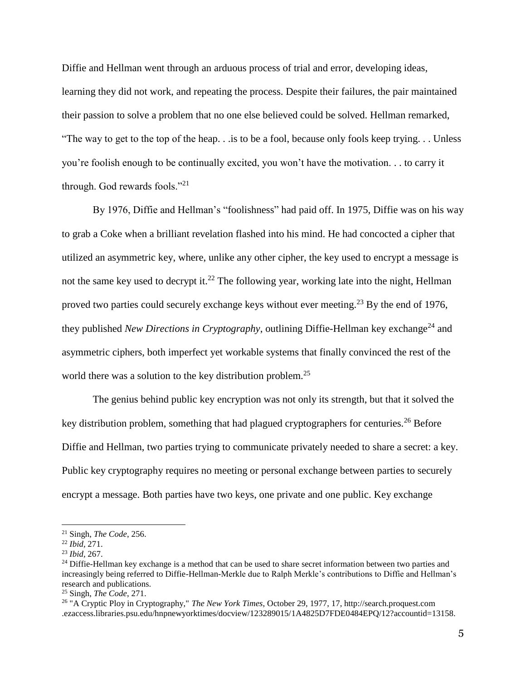Diffie and Hellman went through an arduous process of trial and error, developing ideas, learning they did not work, and repeating the process. Despite their failures, the pair maintained their passion to solve a problem that no one else believed could be solved. Hellman remarked, "The way to get to the top of the heap. . .is to be a fool, because only fools keep trying. . . Unless you're foolish enough to be continually excited, you won't have the motivation. . . to carry it through. God rewards fools."<sup>21</sup>

By 1976, Diffie and Hellman's "foolishness" had paid off. In 1975, Diffie was on his way to grab a Coke when a brilliant revelation flashed into his mind. He had concocted a cipher that utilized an asymmetric key, where, unlike any other cipher, the key used to encrypt a message is not the same key used to decrypt it.<sup>22</sup> The following year, working late into the night, Hellman proved two parties could securely exchange keys without ever meeting.<sup>23</sup> By the end of 1976, they published *New Directions in Cryptography*, outlining Diffie-Hellman key exchange<sup>24</sup> and asymmetric ciphers, both imperfect yet workable systems that finally convinced the rest of the world there was a solution to the key distribution problem.<sup>25</sup>

The genius behind public key encryption was not only its strength, but that it solved the key distribution problem, something that had plagued cryptographers for centuries.<sup>26</sup> Before Diffie and Hellman, two parties trying to communicate privately needed to share a secret: a key. Public key cryptography requires no meeting or personal exchange between parties to securely encrypt a message. Both parties have two keys, one private and one public. Key exchange

<sup>21</sup> Singh, *The Code*, 256.

<sup>22</sup> *Ibid,* 271.

<sup>23</sup> *Ibid,* 267.

 $24$  Diffie-Hellman key exchange is a method that can be used to share secret information between two parties and increasingly being referred to Diffie-Hellman-Merkle due to Ralph Merkle's contributions to Diffie and Hellman's research and publications.

<sup>25</sup> Singh, *The Code*, 271.

<sup>26</sup> "A Cryptic Ploy in Cryptography," *The New York Times*, October 29, 1977, 17, http://search.proquest.com .ezaccess.libraries.psu.edu/hnpnewyorktimes/docview/123289015/1A4825D7FDE0484EPQ/12?accountid=13158.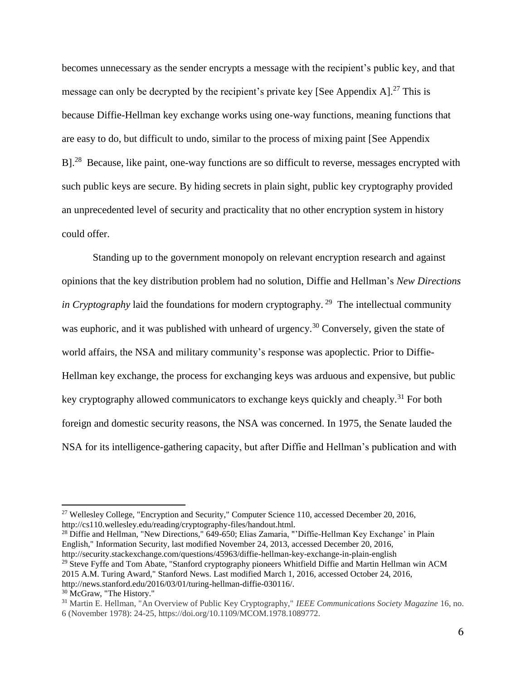becomes unnecessary as the sender encrypts a message with the recipient's public key, and that message can only be decrypted by the recipient's private key [See Appendix  $A$ ]<sup>27</sup> This is because Diffie-Hellman key exchange works using one-way functions, meaning functions that are easy to do, but difficult to undo, similar to the process of mixing paint [See Appendix  $B$ <sup>28</sup> Because, like paint, one-way functions are so difficult to reverse, messages encrypted with such public keys are secure. By hiding secrets in plain sight, public key cryptography provided an unprecedented level of security and practicality that no other encryption system in history could offer.

Standing up to the government monopoly on relevant encryption research and against opinions that the key distribution problem had no solution, Diffie and Hellman's *New Directions in Cryptography* laid the foundations for modern cryptography.<sup>29</sup> The intellectual community was euphoric, and it was published with unheard of urgency.<sup>30</sup> Conversely, given the state of world affairs, the NSA and military community's response was apoplectic. Prior to Diffie-Hellman key exchange, the process for exchanging keys was arduous and expensive, but public key cryptography allowed communicators to exchange keys quickly and cheaply.<sup>31</sup> For both foreign and domestic security reasons, the NSA was concerned. In 1975, the Senate lauded the NSA for its intelligence-gathering capacity, but after Diffie and Hellman's publication and with

<sup>28</sup> Diffie and Hellman, "New Directions," 649-650; Elias Zamaria, "'Diffie-Hellman Key Exchange' in Plain English," Information Security, last modified November 24, 2013, accessed December 20, 2016, http://security.stackexchange.com/questions/45963/diffie-hellman-key-exchange-in-plain-english  $29$  Steve Fyffe and Tom Abate, "Stanford cryptography pioneers Whitfield Diffie and Martin Hellman win ACM 2015 A.M. Turing Award," Stanford News. Last modified March 1, 2016, accessed October 24, 2016, http://news.stanford.edu/2016/03/01/turing-hellman-diffie-030116/.

l

<sup>27</sup> Wellesley College, "Encryption and Security," Computer Science 110, accessed December 20, 2016, http://cs110.wellesley.edu/reading/cryptography-files/handout.html.

<sup>30</sup> McGraw, "The History."

<sup>31</sup> Martin E. Hellman, "An Overview of Public Key Cryptography," *IEEE Communications Society Magazine* 16, no. 6 (November 1978): 24-25, https://doi.org/10.1109/MCOM.1978.1089772.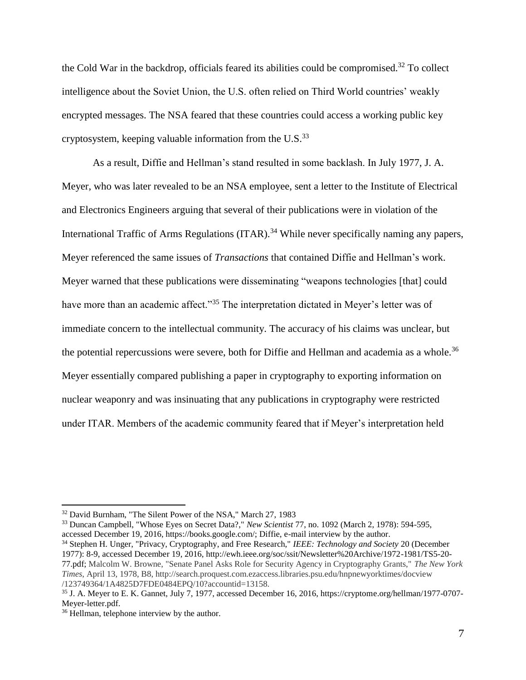the Cold War in the backdrop, officials feared its abilities could be compromised.<sup>32</sup> To collect intelligence about the Soviet Union, the U.S. often relied on Third World countries' weakly encrypted messages. The NSA feared that these countries could access a working public key cryptosystem, keeping valuable information from the U.S. $^{33}$ 

As a result, Diffie and Hellman's stand resulted in some backlash. In July 1977, J. A. Meyer, who was later revealed to be an NSA employee, sent a letter to the Institute of Electrical and Electronics Engineers arguing that several of their publications were in violation of the International Traffic of Arms Regulations (ITAR).<sup>34</sup> While never specifically naming any papers, Meyer referenced the same issues of *Transactions* that contained Diffie and Hellman's work. Meyer warned that these publications were disseminating "weapons technologies [that] could have more than an academic affect."<sup>35</sup> The interpretation dictated in Meyer's letter was of immediate concern to the intellectual community. The accuracy of his claims was unclear, but the potential repercussions were severe, both for Diffie and Hellman and academia as a whole.<sup>36</sup> Meyer essentially compared publishing a paper in cryptography to exporting information on nuclear weaponry and was insinuating that any publications in cryptography were restricted under ITAR. Members of the academic community feared that if Meyer's interpretation held

<sup>33</sup> Duncan Campbell, "Whose Eyes on Secret Data?," *New Scientist* 77, no. 1092 (March 2, 1978): 594-595, accessed December 19, 2016, https://books.google.com/; Diffie, e-mail interview by the author.

<sup>34</sup> Stephen H. Unger, "Privacy, Cryptography, and Free Research," *IEEE: Technology and Society* 20 (December 1977): 8-9, accessed December 19, 2016, http://ewh.ieee.org/soc/ssit/Newsletter%20Archive/1972-1981/TS5-20- 77.pdf; Malcolm W. Browne, "Senate Panel Asks Role for Security Agency in Cryptography Grants," *The New York Times*, April 13, 1978, B8, http://search.proquest.com.ezaccess.libraries.psu.edu/hnpnewyorktimes/docview /123749364/1A4825D7FDE0484EPQ/10?accountid=13158.

l

<sup>&</sup>lt;sup>32</sup> David Burnham, "The Silent Power of the NSA," March 27, 1983

<sup>35</sup> J. A. Meyer to E. K. Gannet, July 7, 1977, accessed December 16, 2016, https://cryptome.org/hellman/1977-0707- Meyer-letter.pdf.

<sup>36</sup> Hellman, telephone interview by the author.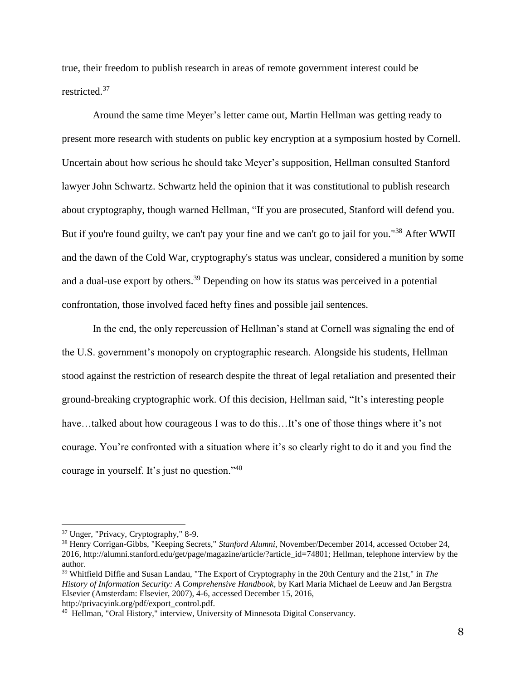true, their freedom to publish research in areas of remote government interest could be restricted.<sup>37</sup>

 Around the same time Meyer's letter came out, Martin Hellman was getting ready to present more research with students on public key encryption at a symposium hosted by Cornell. Uncertain about how serious he should take Meyer's supposition, Hellman consulted Stanford lawyer John Schwartz. Schwartz held the opinion that it was constitutional to publish research about cryptography, though warned Hellman, "If you are prosecuted, Stanford will defend you. But if you're found guilty, we can't pay your fine and we can't go to jail for you."<sup>38</sup> After WWII and the dawn of the Cold War, cryptography's status was unclear, considered a munition by some and a dual-use export by others.<sup>39</sup> Depending on how its status was perceived in a potential confrontation, those involved faced hefty fines and possible jail sentences.

In the end, the only repercussion of Hellman's stand at Cornell was signaling the end of the U.S. government's monopoly on cryptographic research. Alongside his students, Hellman stood against the restriction of research despite the threat of legal retaliation and presented their ground-breaking cryptographic work. Of this decision, Hellman said, "It's interesting people have…talked about how courageous I was to do this…It's one of those things where it's not courage. You're confronted with a situation where it's so clearly right to do it and you find the courage in yourself. It's just no question."<sup>40</sup>

<sup>37</sup> Unger, "Privacy, Cryptography," 8-9.

<sup>38</sup> Henry Corrigan-Gibbs, "Keeping Secrets," *Stanford Alumni*, November/December 2014, accessed October 24, 2016, http://alumni.stanford.edu/get/page/magazine/article/?article\_id=74801; Hellman, telephone interview by the author.

<sup>39</sup> Whitfield Diffie and Susan Landau, "The Export of Cryptography in the 20th Century and the 21st," in *The History of Information Security: A Comprehensive Handbook*, by Karl Maria Michael de Leeuw and Jan Bergstra Elsevier (Amsterdam: Elsevier, 2007), 4-6, accessed December 15, 2016, http://privacyink.org/pdf/export\_control.pdf.

<sup>40</sup> Hellman, "Oral History," interview, University of Minnesota Digital Conservancy.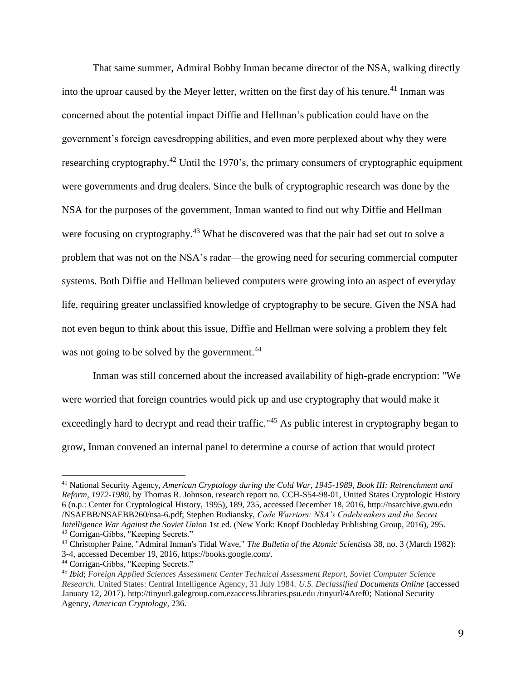That same summer, Admiral Bobby Inman became director of the NSA, walking directly into the uproar caused by the Meyer letter, written on the first day of his tenure.<sup>41</sup> Inman was concerned about the potential impact Diffie and Hellman's publication could have on the government's foreign eavesdropping abilities, and even more perplexed about why they were researching cryptography.<sup>42</sup> Until the 1970's, the primary consumers of cryptographic equipment were governments and drug dealers. Since the bulk of cryptographic research was done by the NSA for the purposes of the government, Inman wanted to find out why Diffie and Hellman were focusing on cryptography.<sup>43</sup> What he discovered was that the pair had set out to solve a problem that was not on the NSA's radar—the growing need for securing commercial computer systems. Both Diffie and Hellman believed computers were growing into an aspect of everyday life, requiring greater unclassified knowledge of cryptography to be secure. Given the NSA had not even begun to think about this issue, Diffie and Hellman were solving a problem they felt was not going to be solved by the government.<sup>44</sup>

Inman was still concerned about the increased availability of high-grade encryption: "We were worried that foreign countries would pick up and use cryptography that would make it exceedingly hard to decrypt and read their traffic."<sup>45</sup> As public interest in cryptography began to grow, Inman convened an internal panel to determine a course of action that would protect

 $\overline{a}$ 

<sup>41</sup> National Security Agency, *American Cryptology during the Cold War, 1945-1989, Book III: Retrenchment and Reform, 1972-1980*, by Thomas R. Johnson, research report no. CCH-S54-98-01, United States Cryptologic History 6 (n.p.: Center for Cryptological History, 1995), 189, 235, accessed December 18, 2016, http://nsarchive.gwu.edu /NSAEBB/NSAEBB260/nsa-6.pdf; Stephen Budiansky, *Code Warriors: NSA's Codebreakers and the Secret Intelligence War Against the Soviet Union* 1st ed. (New York: Knopf Doubleday Publishing Group, 2016), 295. <sup>42</sup> Corrigan-Gibbs, "Keeping Secrets."

<sup>43</sup> Christopher Paine, "Admiral Inman's Tidal Wave," *The Bulletin of the Atomic Scientists* 38, no. 3 (March 1982): 3-4, accessed December 19, 2016, https://books.google.com/.

<sup>44</sup> Corrigan-Gibbs, "Keeping Secrets."

<sup>45</sup> *Ibid*; *Foreign Applied Sciences Assessment Center Technical Assessment Report, Soviet Computer Science Research*. United States: Central Intelligence Agency, 31 July 1984. *U.S. Declassified Documents Online* (accessed January 12, 2017). http://tinyurl.galegroup.com.ezaccess.libraries.psu.edu /tinyurl/4Aref0; National Security Agency, *American Cryptology*, 236.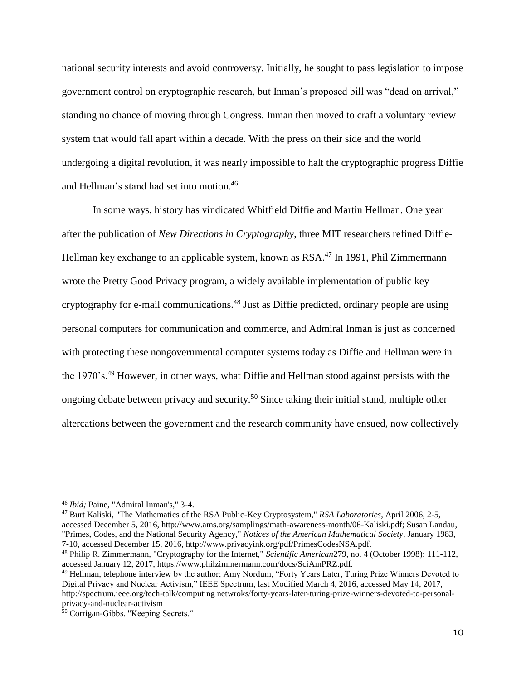national security interests and avoid controversy. Initially, he sought to pass legislation to impose government control on cryptographic research, but Inman's proposed bill was "dead on arrival," standing no chance of moving through Congress. Inman then moved to craft a voluntary review system that would fall apart within a decade. With the press on their side and the world undergoing a digital revolution, it was nearly impossible to halt the cryptographic progress Diffie and Hellman's stand had set into motion. 46

In some ways, history has vindicated Whitfield Diffie and Martin Hellman. One year after the publication of *New Directions in Cryptography*, three MIT researchers refined Diffie-Hellman key exchange to an applicable system, known as RSA.<sup>47</sup> In 1991, Phil Zimmermann wrote the Pretty Good Privacy program, a widely available implementation of public key cryptography for e-mail communications.<sup>48</sup> Just as Diffie predicted, ordinary people are using personal computers for communication and commerce, and Admiral Inman is just as concerned with protecting these nongovernmental computer systems today as Diffie and Hellman were in the 1970's.<sup>49</sup> However, in other ways, what Diffie and Hellman stood against persists with the ongoing debate between privacy and security.<sup>50</sup> Since taking their initial stand, multiple other altercations between the government and the research community have ensued, now collectively

 $\overline{\phantom{a}}$ 

<sup>47</sup> Burt Kaliski, "The Mathematics of the RSA Public-Key Cryptosystem," *RSA Laboratories*, April 2006, 2-5, accessed December 5, 2016, http://www.ams.org/samplings/math-awareness-month/06-Kaliski.pdf; Susan Landau, "Primes, Codes, and the National Security Agency," *Notices of the American Mathematical Society*, January 1983, 7-10, accessed December 15, 2016, http://www.privacyink.org/pdf/PrimesCodesNSA.pdf.

<sup>46</sup> *Ibid;* Paine, "Admiral Inman's," 3-4.

<sup>48</sup> Philip R. Zimmermann, "Cryptography for the Internet," *Scientific American*279, no. 4 (October 1998): 111-112, accessed January 12, 2017, https://www.philzimmermann.com/docs/SciAmPRZ.pdf.

<sup>49</sup> Hellman, telephone interview by the author; Amy Nordum, "Forty Years Later, Turing Prize Winners Devoted to Digital Privacy and Nuclear Activism," IEEE Spectrum, last Modified March 4, 2016, accessed May 14, 2017, http://spectrum.ieee.org/tech-talk/computing netwroks/forty-years-later-turing-prize-winners-devoted-to-personalprivacy-and-nuclear-activism

<sup>50</sup> Corrigan-Gibbs, "Keeping Secrets."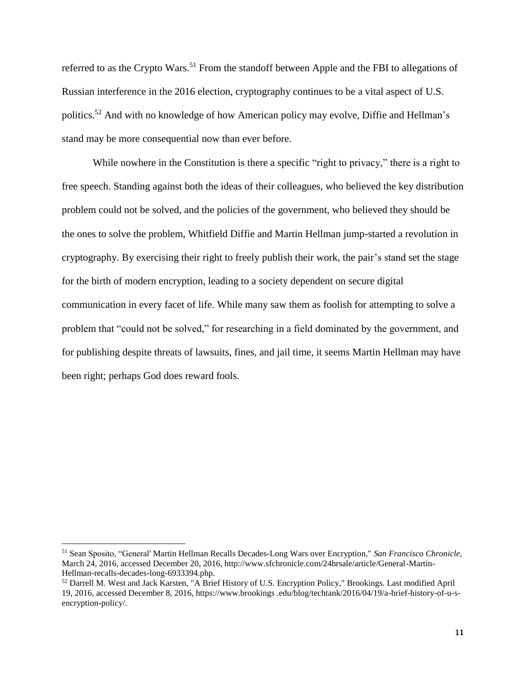referred to as the Crypto Wars.<sup>51</sup> From the standoff between Apple and the FBI to allegations of Russian interference in the 2016 election, cryptography continues to be a vital aspect of U.S. politics.<sup>52</sup> And with no knowledge of how American policy may evolve, Diffie and Hellman's stand may be more consequential now than ever before.

While nowhere in the Constitution is there a specific "right to privacy," there is a right to free speech. Standing against both the ideas of their colleagues, who believed the key distribution problem could not be solved, and the policies of the government, who believed they should be the ones to solve the problem, Whitfield Diffie and Martin Hellman jump-started a revolution in cryptography. By exercising their right to freely publish their work, the pair's stand set the stage for the birth of modern encryption, leading to a society dependent on secure digital communication in every facet of life. While many saw them as foolish for attempting to solve a problem that "could not be solved," for researching in a field dominated by the government, and for publishing despite threats of lawsuits, fines, and jail time, it seems Martin Hellman may have been right; perhaps God does reward fools.

<sup>51</sup> Sean Sposito, "General' Martin Hellman Recalls Decades-Long Wars over Encryption," *San Francisco Chronicle,*  March 24, 2016, accessed December 20, 2016, http://www.sfchronicle.com/24hrsale/article/General-Martin-Hellman-recalls-decades-long-6933394.php.

<sup>&</sup>lt;sup>52</sup> Darrell M. West and Jack Karsten, "A Brief History of U.S. Encryption Policy," Brookings. Last modified April 19, 2016, accessed December 8, 2016, https://www.brookings .edu/blog/techtank/2016/04/19/a-brief-history-of-u-sencryption-policy/.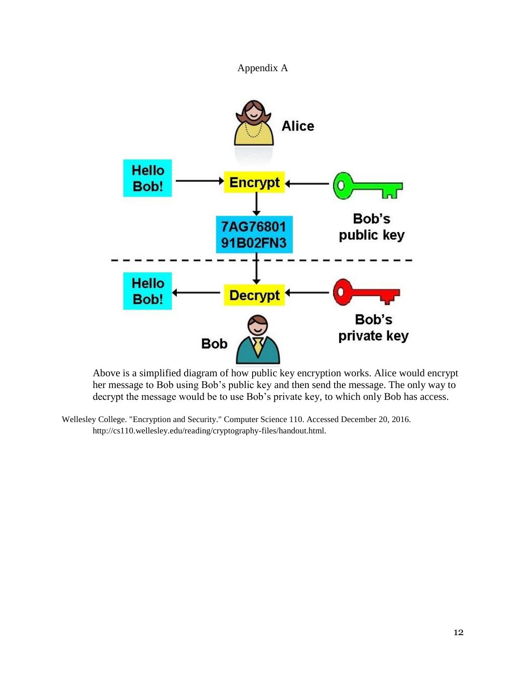



Above is a simplified diagram of how public key encryption works. Alice would encrypt her message to Bob using Bob's public key and then send the message. The only way to decrypt the message would be to use Bob's private key, to which only Bob has access.

Wellesley College. "Encryption and Security." Computer Science 110. Accessed December 20, 2016. http://cs110.wellesley.edu/reading/cryptography-files/handout.html.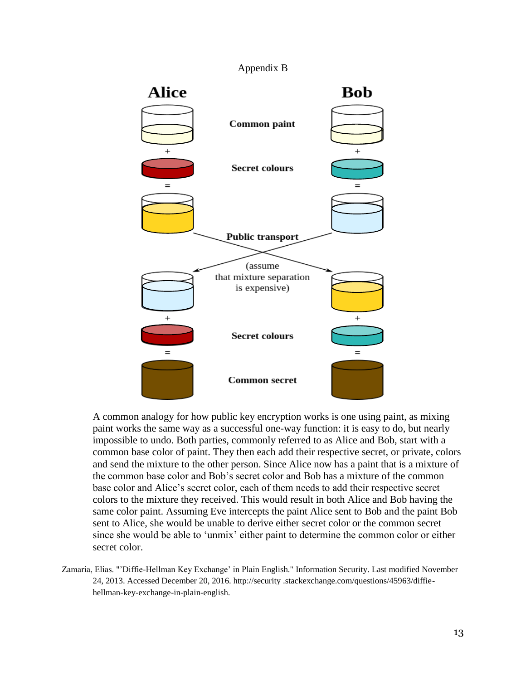## Appendix B



A common analogy for how public key encryption works is one using paint, as mixing paint works the same way as a successful one-way function: it is easy to do, but nearly impossible to undo. Both parties, commonly referred to as Alice and Bob, start with a common base color of paint. They then each add their respective secret, or private, colors and send the mixture to the other person. Since Alice now has a paint that is a mixture of the common base color and Bob's secret color and Bob has a mixture of the common base color and Alice's secret color, each of them needs to add their respective secret colors to the mixture they received. This would result in both Alice and Bob having the same color paint. Assuming Eve intercepts the paint Alice sent to Bob and the paint Bob sent to Alice, she would be unable to derive either secret color or the common secret since she would be able to 'unmix' either paint to determine the common color or either secret color.

Zamaria, Elias. "'Diffie-Hellman Key Exchange' in Plain English." Information Security. Last modified November 24, 2013. Accessed December 20, 2016. http://security .stackexchange.com/questions/45963/diffiehellman-key-exchange-in-plain-english.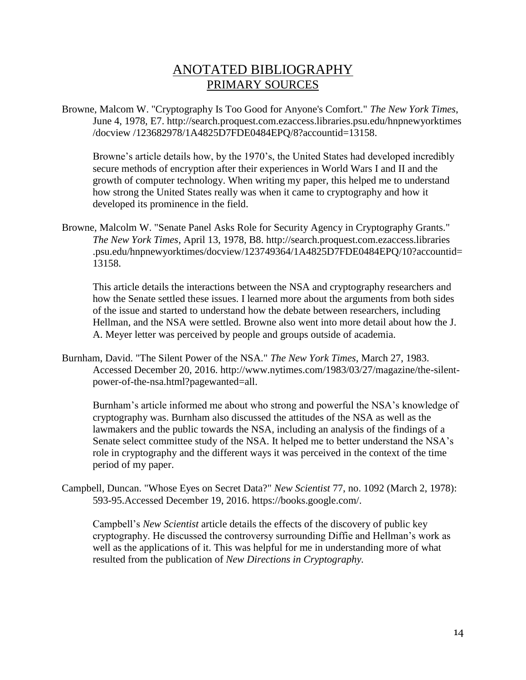## ANOTATED BIBLIOGRAPHY PRIMARY SOURCES

Browne, Malcom W. "Cryptography Is Too Good for Anyone's Comfort." *The New York Times*, June 4, 1978, E7. http://search.proquest.com.ezaccess.libraries.psu.edu/hnpnewyorktimes /docview /123682978/1A4825D7FDE0484EPQ/8?accountid=13158.

Browne's article details how, by the 1970's, the United States had developed incredibly secure methods of encryption after their experiences in World Wars I and II and the growth of computer technology. When writing my paper, this helped me to understand how strong the United States really was when it came to cryptography and how it developed its prominence in the field.

Browne, Malcolm W. "Senate Panel Asks Role for Security Agency in Cryptography Grants." *The New York Times*, April 13, 1978, B8. http://search.proquest.com.ezaccess.libraries .psu.edu/hnpnewyorktimes/docview/123749364/1A4825D7FDE0484EPQ/10?accountid= 13158.

This article details the interactions between the NSA and cryptography researchers and how the Senate settled these issues. I learned more about the arguments from both sides of the issue and started to understand how the debate between researchers, including Hellman, and the NSA were settled. Browne also went into more detail about how the J. A. Meyer letter was perceived by people and groups outside of academia.

Burnham, David. "The Silent Power of the NSA." *The New York Times*, March 27, 1983. Accessed December 20, 2016. http://www.nytimes.com/1983/03/27/magazine/the-silentpower-of-the-nsa.html?pagewanted=all.

Burnham's article informed me about who strong and powerful the NSA's knowledge of cryptography was. Burnham also discussed the attitudes of the NSA as well as the lawmakers and the public towards the NSA, including an analysis of the findings of a Senate select committee study of the NSA. It helped me to better understand the NSA's role in cryptography and the different ways it was perceived in the context of the time period of my paper.

Campbell, Duncan. "Whose Eyes on Secret Data?" *New Scientist* 77, no. 1092 (March 2, 1978): 593-95.Accessed December 19, 2016. https://books.google.com/.

Campbell's *New Scientist* article details the effects of the discovery of public key cryptography. He discussed the controversy surrounding Diffie and Hellman's work as well as the applications of it. This was helpful for me in understanding more of what resulted from the publication of *New Directions in Cryptography.*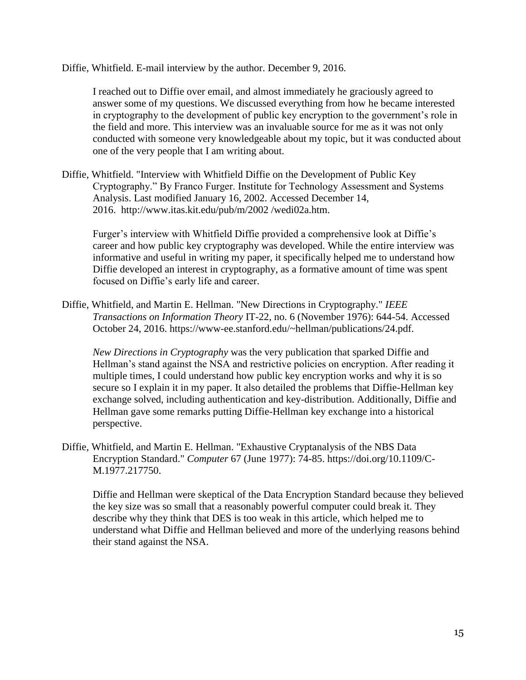Diffie, Whitfield. E-mail interview by the author. December 9, 2016.

I reached out to Diffie over email, and almost immediately he graciously agreed to answer some of my questions. We discussed everything from how he became interested in cryptography to the development of public key encryption to the government's role in the field and more. This interview was an invaluable source for me as it was not only conducted with someone very knowledgeable about my topic, but it was conducted about one of the very people that I am writing about.

Diffie, Whitfield. "Interview with Whitfield Diffie on the Development of Public Key Cryptography." By Franco Furger. Institute for Technology Assessment and Systems Analysis. Last modified January 16, 2002. Accessed December 14, 2016. http://www.itas.kit.edu/pub/m/2002 /wedi02a.htm.

Furger's interview with Whitfield Diffie provided a comprehensive look at Diffie's career and how public key cryptography was developed. While the entire interview was informative and useful in writing my paper, it specifically helped me to understand how Diffie developed an interest in cryptography, as a formative amount of time was spent focused on Diffie's early life and career.

Diffie, Whitfield, and Martin E. Hellman. "New Directions in Cryptography." *IEEE Transactions on Information Theory* IT-22, no. 6 (November 1976): 644-54. Accessed October 24, 2016. https://www-ee.stanford.edu/~hellman/publications/24.pdf.

*New Directions in Cryptography* was the very publication that sparked Diffie and Hellman's stand against the NSA and restrictive policies on encryption. After reading it multiple times, I could understand how public key encryption works and why it is so secure so I explain it in my paper. It also detailed the problems that Diffie-Hellman key exchange solved, including authentication and key-distribution. Additionally, Diffie and Hellman gave some remarks putting Diffie-Hellman key exchange into a historical perspective.

Diffie, Whitfield, and Martin E. Hellman. "Exhaustive Cryptanalysis of the NBS Data Encryption Standard." *Computer* 67 (June 1977): 74-85. https://doi.org/10.1109/C-M.1977.217750.

Diffie and Hellman were skeptical of the Data Encryption Standard because they believed the key size was so small that a reasonably powerful computer could break it. They describe why they think that DES is too weak in this article, which helped me to understand what Diffie and Hellman believed and more of the underlying reasons behind their stand against the NSA.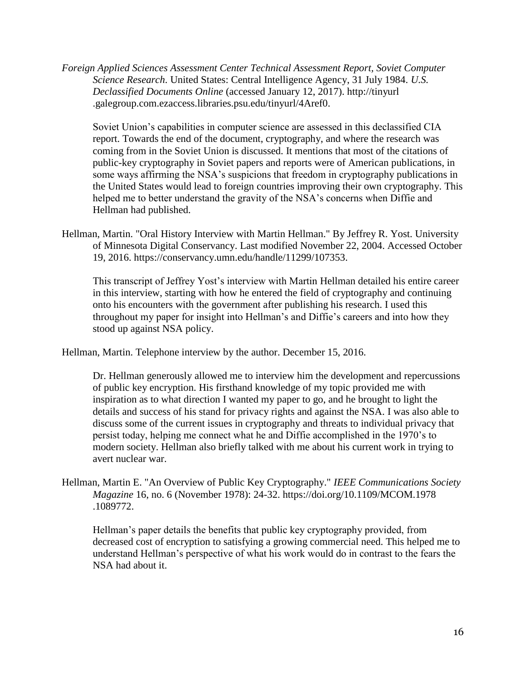*Foreign Applied Sciences Assessment Center Technical Assessment Report, Soviet Computer Science Research*. United States: Central Intelligence Agency, 31 July 1984. *U.S. Declassified Documents Online* (accessed January 12, 2017). http://tinyurl .galegroup.com.ezaccess.libraries.psu.edu/tinyurl/4Aref0.

Soviet Union's capabilities in computer science are assessed in this declassified CIA report. Towards the end of the document, cryptography, and where the research was coming from in the Soviet Union is discussed. It mentions that most of the citations of public-key cryptography in Soviet papers and reports were of American publications, in some ways affirming the NSA's suspicions that freedom in cryptography publications in the United States would lead to foreign countries improving their own cryptography. This helped me to better understand the gravity of the NSA's concerns when Diffie and Hellman had published.

Hellman, Martin. "Oral History Interview with Martin Hellman." By Jeffrey R. Yost. University of Minnesota Digital Conservancy. Last modified November 22, 2004. Accessed October 19, 2016. https://conservancy.umn.edu/handle/11299/107353.

This transcript of Jeffrey Yost's interview with Martin Hellman detailed his entire career in this interview, starting with how he entered the field of cryptography and continuing onto his encounters with the government after publishing his research. I used this throughout my paper for insight into Hellman's and Diffie's careers and into how they stood up against NSA policy.

Hellman, Martin. Telephone interview by the author. December 15, 2016.

Dr. Hellman generously allowed me to interview him the development and repercussions of public key encryption. His firsthand knowledge of my topic provided me with inspiration as to what direction I wanted my paper to go, and he brought to light the details and success of his stand for privacy rights and against the NSA. I was also able to discuss some of the current issues in cryptography and threats to individual privacy that persist today, helping me connect what he and Diffie accomplished in the 1970's to modern society. Hellman also briefly talked with me about his current work in trying to avert nuclear war.

Hellman, Martin E. "An Overview of Public Key Cryptography." *IEEE Communications Society Magazine* 16, no. 6 (November 1978): 24-32. https://doi.org/10.1109/MCOM.1978 .1089772.

Hellman's paper details the benefits that public key cryptography provided, from decreased cost of encryption to satisfying a growing commercial need. This helped me to understand Hellman's perspective of what his work would do in contrast to the fears the NSA had about it.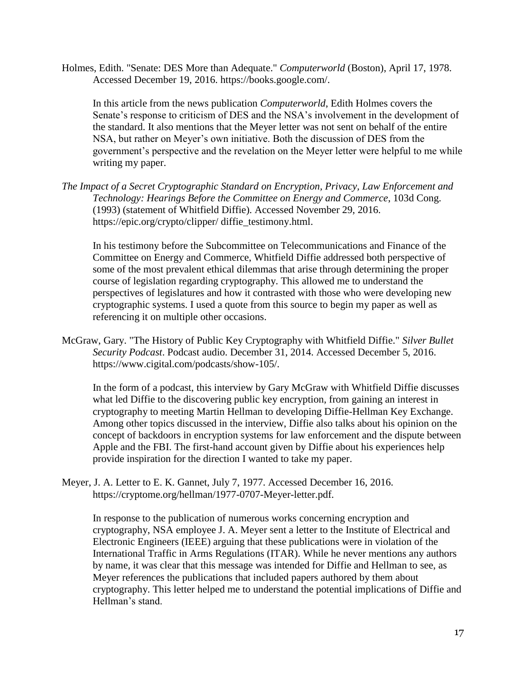Holmes, Edith. "Senate: DES More than Adequate." *Computerworld* (Boston), April 17, 1978. Accessed December 19, 2016. https://books.google.com/.

In this article from the news publication *Computerworld*, Edith Holmes covers the Senate's response to criticism of DES and the NSA's involvement in the development of the standard. It also mentions that the Meyer letter was not sent on behalf of the entire NSA, but rather on Meyer's own initiative. Both the discussion of DES from the government's perspective and the revelation on the Meyer letter were helpful to me while writing my paper.

*The Impact of a Secret Cryptographic Standard on Encryption, Privacy, Law Enforcement and Technology: Hearings Before the Committee on Energy and Commerce*, 103d Cong. (1993) (statement of Whitfield Diffie). Accessed November 29, 2016. https://epic.org/crypto/clipper/ diffie\_testimony.html.

In his testimony before the Subcommittee on Telecommunications and Finance of the Committee on Energy and Commerce, Whitfield Diffie addressed both perspective of some of the most prevalent ethical dilemmas that arise through determining the proper course of legislation regarding cryptography. This allowed me to understand the perspectives of legislatures and how it contrasted with those who were developing new cryptographic systems. I used a quote from this source to begin my paper as well as referencing it on multiple other occasions.

McGraw, Gary. "The History of Public Key Cryptography with Whitfield Diffie." *Silver Bullet Security Podcast*. Podcast audio. December 31, 2014. Accessed December 5, 2016. https://www.cigital.com/podcasts/show-105/.

In the form of a podcast, this interview by Gary McGraw with Whitfield Diffie discusses what led Diffie to the discovering public key encryption, from gaining an interest in cryptography to meeting Martin Hellman to developing Diffie-Hellman Key Exchange. Among other topics discussed in the interview, Diffie also talks about his opinion on the concept of backdoors in encryption systems for law enforcement and the dispute between Apple and the FBI. The first-hand account given by Diffie about his experiences help provide inspiration for the direction I wanted to take my paper.

Meyer, J. A. Letter to E. K. Gannet, July 7, 1977. Accessed December 16, 2016. https://cryptome.org/hellman/1977-0707-Meyer-letter.pdf.

In response to the publication of numerous works concerning encryption and cryptography, NSA employee J. A. Meyer sent a letter to the Institute of Electrical and Electronic Engineers (IEEE) arguing that these publications were in violation of the International Traffic in Arms Regulations (ITAR). While he never mentions any authors by name, it was clear that this message was intended for Diffie and Hellman to see, as Meyer references the publications that included papers authored by them about cryptography. This letter helped me to understand the potential implications of Diffie and Hellman's stand.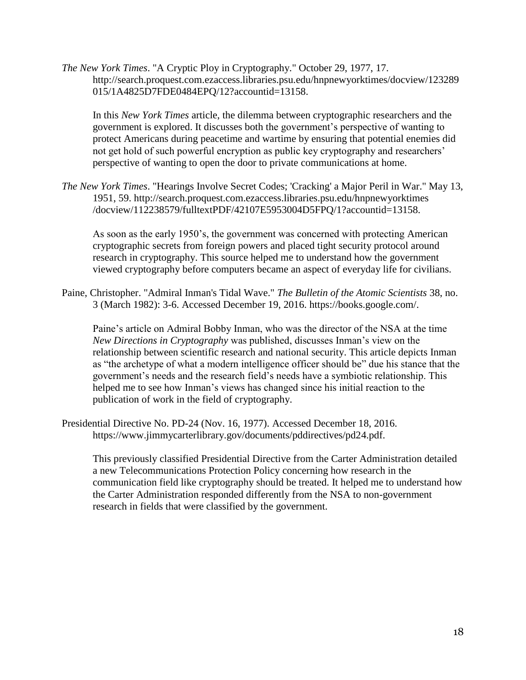*The New York Times*. "A Cryptic Ploy in Cryptography." October 29, 1977, 17. http://search.proquest.com.ezaccess.libraries.psu.edu/hnpnewyorktimes/docview/123289 015/1A4825D7FDE0484EPQ/12?accountid=13158.

In this *New York Times* article, the dilemma between cryptographic researchers and the government is explored. It discusses both the government's perspective of wanting to protect Americans during peacetime and wartime by ensuring that potential enemies did not get hold of such powerful encryption as public key cryptography and researchers' perspective of wanting to open the door to private communications at home.

*The New York Times*. "Hearings Involve Secret Codes; 'Cracking' a Major Peril in War." May 13, 1951, 59. http://search.proquest.com.ezaccess.libraries.psu.edu/hnpnewyorktimes /docview/112238579/fulltextPDF/42107E5953004D5FPQ/1?accountid=13158.

As soon as the early 1950's, the government was concerned with protecting American cryptographic secrets from foreign powers and placed tight security protocol around research in cryptography. This source helped me to understand how the government viewed cryptography before computers became an aspect of everyday life for civilians.

Paine, Christopher. "Admiral Inman's Tidal Wave." *The Bulletin of the Atomic Scientists* 38, no. 3 (March 1982): 3-6. Accessed December 19, 2016. https://books.google.com/.

Paine's article on Admiral Bobby Inman, who was the director of the NSA at the time *New Directions in Cryptography* was published, discusses Inman's view on the relationship between scientific research and national security. This article depicts Inman as "the archetype of what a modern intelligence officer should be" due his stance that the government's needs and the research field's needs have a symbiotic relationship. This helped me to see how Inman's views has changed since his initial reaction to the publication of work in the field of cryptography.

Presidential Directive No. PD-24 (Nov. 16, 1977). Accessed December 18, 2016. https://www.jimmycarterlibrary.gov/documents/pddirectives/pd24.pdf.

This previously classified Presidential Directive from the Carter Administration detailed a new Telecommunications Protection Policy concerning how research in the communication field like cryptography should be treated. It helped me to understand how the Carter Administration responded differently from the NSA to non-government research in fields that were classified by the government.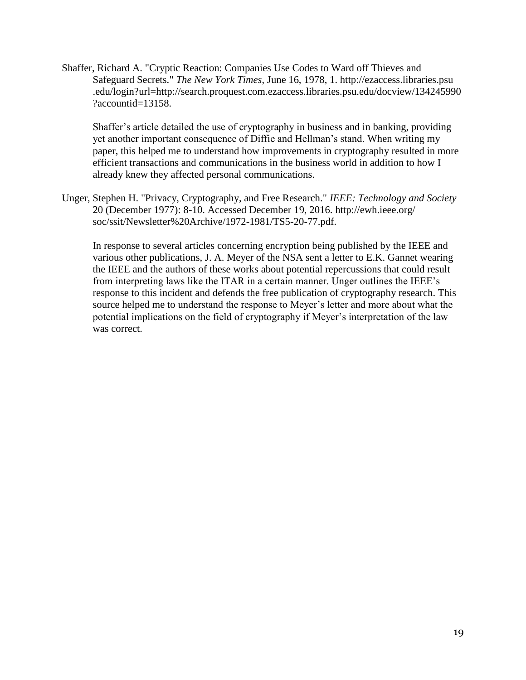Shaffer, Richard A. "Cryptic Reaction: Companies Use Codes to Ward off Thieves and Safeguard Secrets." *The New York Times*, June 16, 1978, 1. http://ezaccess.libraries.psu .edu/login?url=http://search.proquest.com.ezaccess.libraries.psu.edu/docview/134245990 ?accountid=13158.

Shaffer's article detailed the use of cryptography in business and in banking, providing yet another important consequence of Diffie and Hellman's stand. When writing my paper, this helped me to understand how improvements in cryptography resulted in more efficient transactions and communications in the business world in addition to how I already knew they affected personal communications.

Unger, Stephen H. "Privacy, Cryptography, and Free Research." *IEEE: Technology and Society* 20 (December 1977): 8-10. Accessed December 19, 2016. http://ewh.ieee.org/ soc/ssit/Newsletter%20Archive/1972-1981/TS5-20-77.pdf.

In response to several articles concerning encryption being published by the IEEE and various other publications, J. A. Meyer of the NSA sent a letter to E.K. Gannet wearing the IEEE and the authors of these works about potential repercussions that could result from interpreting laws like the ITAR in a certain manner. Unger outlines the IEEE's response to this incident and defends the free publication of cryptography research. This source helped me to understand the response to Meyer's letter and more about what the potential implications on the field of cryptography if Meyer's interpretation of the law was correct.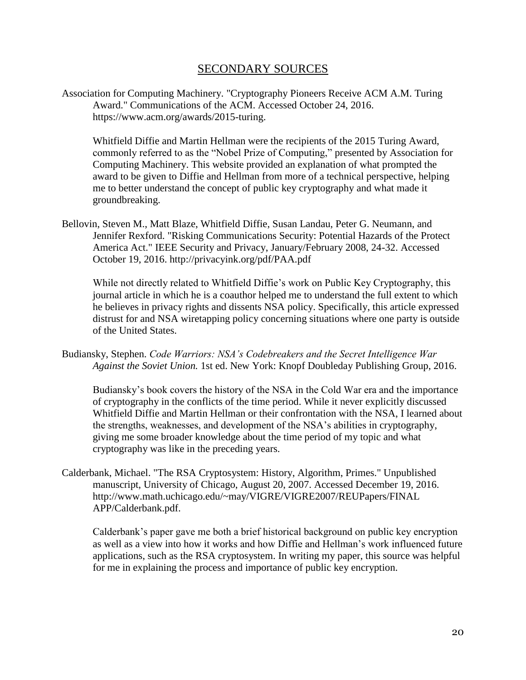## SECONDARY SOURCES

Association for Computing Machinery. "Cryptography Pioneers Receive ACM A.M. Turing Award." Communications of the ACM. Accessed October 24, 2016. https://www.acm.org/awards/2015-turing.

Whitfield Diffie and Martin Hellman were the recipients of the 2015 Turing Award, commonly referred to as the "Nobel Prize of Computing," presented by Association for Computing Machinery. This website provided an explanation of what prompted the award to be given to Diffie and Hellman from more of a technical perspective, helping me to better understand the concept of public key cryptography and what made it groundbreaking.

Bellovin, Steven M., Matt Blaze, Whitfield Diffie, Susan Landau, Peter G. Neumann, and Jennifer Rexford. "Risking Communications Security: Potential Hazards of the Protect America Act." IEEE Security and Privacy, January/February 2008, 24-32. Accessed October 19, 2016. http://privacyink.org/pdf/PAA.pdf

While not directly related to Whitfield Diffie's work on Public Key Cryptography, this journal article in which he is a coauthor helped me to understand the full extent to which he believes in privacy rights and dissents NSA policy. Specifically, this article expressed distrust for and NSA wiretapping policy concerning situations where one party is outside of the United States.

Budiansky, Stephen. *Code Warriors: NSA's Codebreakers and the Secret Intelligence War Against the Soviet Union.* 1st ed. New York: Knopf Doubleday Publishing Group, 2016.

Budiansky's book covers the history of the NSA in the Cold War era and the importance of cryptography in the conflicts of the time period. While it never explicitly discussed Whitfield Diffie and Martin Hellman or their confrontation with the NSA, I learned about the strengths, weaknesses, and development of the NSA's abilities in cryptography, giving me some broader knowledge about the time period of my topic and what cryptography was like in the preceding years.

Calderbank, Michael. "The RSA Cryptosystem: History, Algorithm, Primes." Unpublished manuscript, University of Chicago, August 20, 2007. Accessed December 19, 2016. http://www.math.uchicago.edu/~may/VIGRE/VIGRE2007/REUPapers/FINAL APP/Calderbank.pdf.

Calderbank's paper gave me both a brief historical background on public key encryption as well as a view into how it works and how Diffie and Hellman's work influenced future applications, such as the RSA cryptosystem. In writing my paper, this source was helpful for me in explaining the process and importance of public key encryption.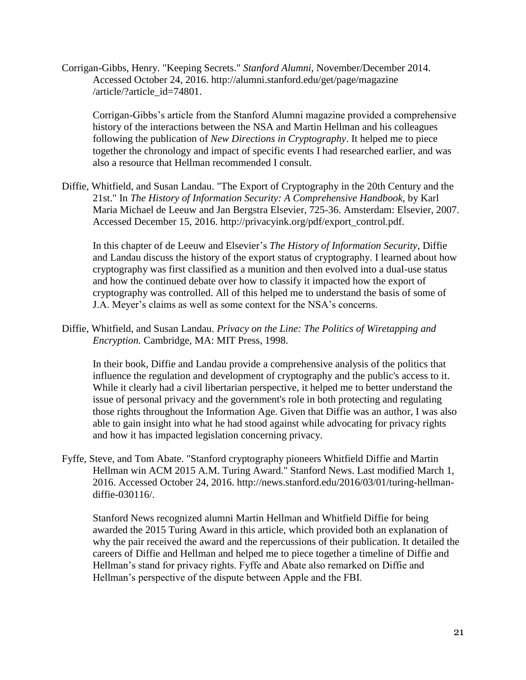Corrigan-Gibbs, Henry. "Keeping Secrets." *Stanford Alumni*, November/December 2014. Accessed October 24, 2016. http://alumni.stanford.edu/get/page/magazine /article/?article\_id=74801.

Corrigan-Gibbs's article from the Stanford Alumni magazine provided a comprehensive history of the interactions between the NSA and Martin Hellman and his colleagues following the publication of *New Directions in Cryptography*. It helped me to piece together the chronology and impact of specific events I had researched earlier, and was also a resource that Hellman recommended I consult.

Diffie, Whitfield, and Susan Landau. "The Export of Cryptography in the 20th Century and the 21st." In *The History of Information Security: A Comprehensive Handbook*, by Karl Maria Michael de Leeuw and Jan Bergstra Elsevier, 725-36. Amsterdam: Elsevier, 2007. Accessed December 15, 2016. http://privacyink.org/pdf/export\_control.pdf.

In this chapter of de Leeuw and Elsevier's *The History of Information Security*, Diffie and Landau discuss the history of the export status of cryptography. I learned about how cryptography was first classified as a munition and then evolved into a dual-use status and how the continued debate over how to classify it impacted how the export of cryptography was controlled. All of this helped me to understand the basis of some of J.A. Meyer's claims as well as some context for the NSA's concerns.

Diffie, Whitfield, and Susan Landau. *Privacy on the Line: The Politics of Wiretapping and Encryption.* Cambridge, MA: MIT Press, 1998.

In their book, Diffie and Landau provide a comprehensive analysis of the politics that influence the regulation and development of cryptography and the public's access to it. While it clearly had a civil libertarian perspective, it helped me to better understand the issue of personal privacy and the government's role in both protecting and regulating those rights throughout the Information Age. Given that Diffie was an author, I was also able to gain insight into what he had stood against while advocating for privacy rights and how it has impacted legislation concerning privacy.

Fyffe, Steve, and Tom Abate. "Stanford cryptography pioneers Whitfield Diffie and Martin Hellman win ACM 2015 A.M. Turing Award." Stanford News. Last modified March 1, 2016. Accessed October 24, 2016. http://news.stanford.edu/2016/03/01/turing-hellmandiffie-030116/.

Stanford News recognized alumni Martin Hellman and Whitfield Diffie for being awarded the 2015 Turing Award in this article, which provided both an explanation of why the pair received the award and the repercussions of their publication. It detailed the careers of Diffie and Hellman and helped me to piece together a timeline of Diffie and Hellman's stand for privacy rights. Fyffe and Abate also remarked on Diffie and Hellman's perspective of the dispute between Apple and the FBI.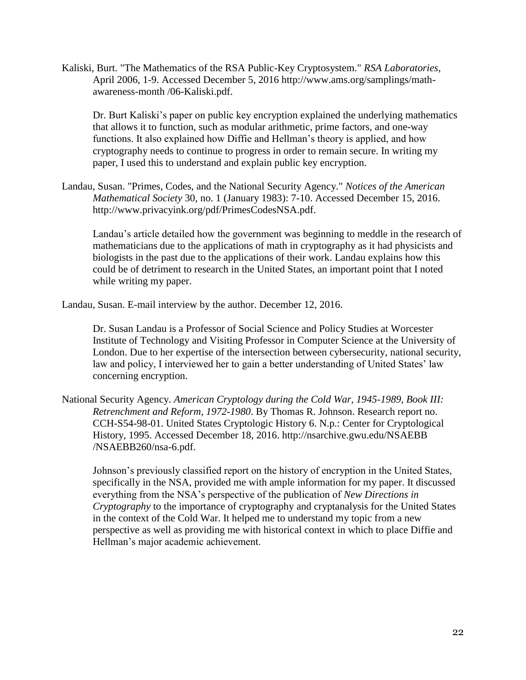Kaliski, Burt. "The Mathematics of the RSA Public-Key Cryptosystem." *RSA Laboratories*, April 2006, 1-9. Accessed December 5, 2016 http://www.ams.org/samplings/mathawareness-month /06-Kaliski.pdf.

Dr. Burt Kaliski's paper on public key encryption explained the underlying mathematics that allows it to function, such as modular arithmetic, prime factors, and one-way functions. It also explained how Diffie and Hellman's theory is applied, and how cryptography needs to continue to progress in order to remain secure. In writing my paper, I used this to understand and explain public key encryption.

Landau, Susan. "Primes, Codes, and the National Security Agency." *Notices of the American Mathematical Society* 30, no. 1 (January 1983): 7-10. Accessed December 15, 2016. http://www.privacyink.org/pdf/PrimesCodesNSA.pdf.

Landau's article detailed how the government was beginning to meddle in the research of mathematicians due to the applications of math in cryptography as it had physicists and biologists in the past due to the applications of their work. Landau explains how this could be of detriment to research in the United States, an important point that I noted while writing my paper.

Landau, Susan. E-mail interview by the author. December 12, 2016.

Dr. Susan Landau is a Professor of Social Science and Policy Studies at Worcester Institute of Technology and Visiting Professor in Computer Science at the University of London. Due to her expertise of the intersection between cybersecurity, national security, law and policy, I interviewed her to gain a better understanding of United States' law concerning encryption.

National Security Agency. *American Cryptology during the Cold War, 1945-1989, Book III: Retrenchment and Reform, 1972-1980*. By Thomas R. Johnson. Research report no. CCH-S54-98-01. United States Cryptologic History 6. N.p.: Center for Cryptological History, 1995. Accessed December 18, 2016. http://nsarchive.gwu.edu/NSAEBB /NSAEBB260/nsa-6.pdf.

Johnson's previously classified report on the history of encryption in the United States, specifically in the NSA, provided me with ample information for my paper. It discussed everything from the NSA's perspective of the publication of *New Directions in Cryptography* to the importance of cryptography and cryptanalysis for the United States in the context of the Cold War. It helped me to understand my topic from a new perspective as well as providing me with historical context in which to place Diffie and Hellman's major academic achievement.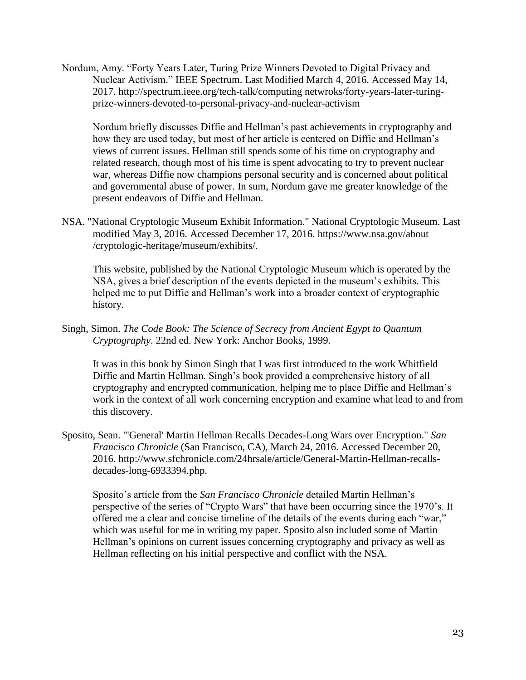Nordum, Amy. "Forty Years Later, Turing Prize Winners Devoted to Digital Privacy and Nuclear Activism." IEEE Spectrum. Last Modified March 4, 2016. Accessed May 14, 2017. http://spectrum.ieee.org/tech-talk/computing netwroks/forty-years-later-turingprize-winners-devoted-to-personal-privacy-and-nuclear-activism

Nordum briefly discusses Diffie and Hellman's past achievements in cryptography and how they are used today, but most of her article is centered on Diffie and Hellman's views of current issues. Hellman still spends some of his time on cryptography and related research, though most of his time is spent advocating to try to prevent nuclear war, whereas Diffie now champions personal security and is concerned about political and governmental abuse of power. In sum, Nordum gave me greater knowledge of the present endeavors of Diffie and Hellman.

NSA. "National Cryptologic Museum Exhibit Information." National Cryptologic Museum. Last modified May 3, 2016. Accessed December 17, 2016. https://www.nsa.gov/about /cryptologic-heritage/museum/exhibits/.

This website, published by the National Cryptologic Museum which is operated by the NSA, gives a brief description of the events depicted in the museum's exhibits. This helped me to put Diffie and Hellman's work into a broader context of cryptographic history.

Singh, Simon. *The Code Book: The Science of Secrecy from Ancient Egypt to Quantum Cryptography*. 22nd ed. New York: Anchor Books, 1999.

It was in this book by Simon Singh that I was first introduced to the work Whitfield Diffie and Martin Hellman. Singh's book provided a comprehensive history of all cryptography and encrypted communication, helping me to place Diffie and Hellman's work in the context of all work concerning encryption and examine what lead to and from this discovery.

Sposito, Sean. "'General' Martin Hellman Recalls Decades-Long Wars over Encryption." *San Francisco Chronicle* (San Francisco, CA), March 24, 2016. Accessed December 20, 2016. http://www.sfchronicle.com/24hrsale/article/General-Martin-Hellman-recallsdecades-long-6933394.php.

Sposito's article from the *San Francisco Chronicle* detailed Martin Hellman's perspective of the series of "Crypto Wars" that have been occurring since the 1970's. It offered me a clear and concise timeline of the details of the events during each "war," which was useful for me in writing my paper. Sposito also included some of Martin Hellman's opinions on current issues concerning cryptography and privacy as well as Hellman reflecting on his initial perspective and conflict with the NSA.